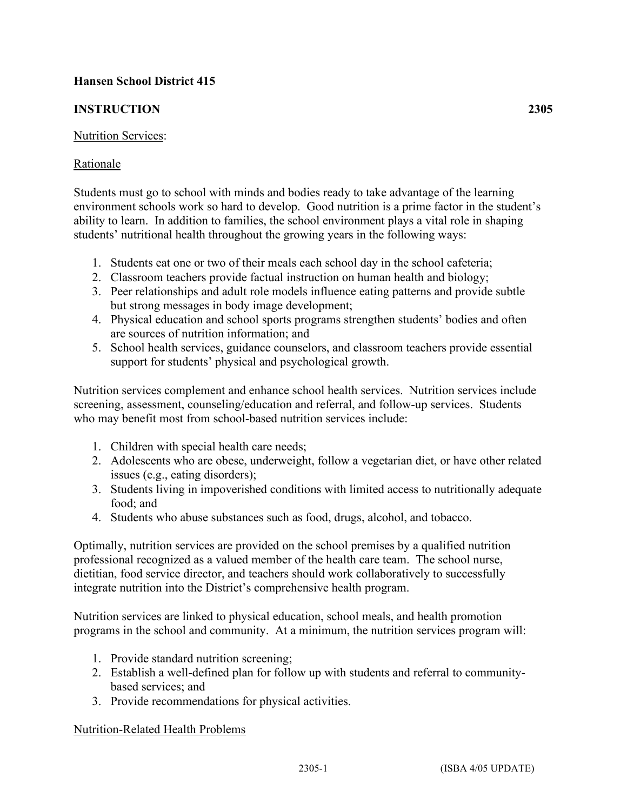# **Hansen School District 415**

# **INSTRUCTION 2305**

## Nutrition Services:

## Rationale

Students must go to school with minds and bodies ready to take advantage of the learning environment schools work so hard to develop. Good nutrition is a prime factor in the student's ability to learn. In addition to families, the school environment plays a vital role in shaping students' nutritional health throughout the growing years in the following ways:

- 1. Students eat one or two of their meals each school day in the school cafeteria;
- 2. Classroom teachers provide factual instruction on human health and biology;
- 3. Peer relationships and adult role models influence eating patterns and provide subtle but strong messages in body image development;
- 4. Physical education and school sports programs strengthen students' bodies and often are sources of nutrition information; and
- 5. School health services, guidance counselors, and classroom teachers provide essential support for students' physical and psychological growth.

Nutrition services complement and enhance school health services. Nutrition services include screening, assessment, counseling/education and referral, and follow-up services. Students who may benefit most from school-based nutrition services include:

- 1. Children with special health care needs;
- 2. Adolescents who are obese, underweight, follow a vegetarian diet, or have other related issues (e.g., eating disorders);
- 3. Students living in impoverished conditions with limited access to nutritionally adequate food; and
- 4. Students who abuse substances such as food, drugs, alcohol, and tobacco.

Optimally, nutrition services are provided on the school premises by a qualified nutrition professional recognized as a valued member of the health care team. The school nurse, dietitian, food service director, and teachers should work collaboratively to successfully integrate nutrition into the District's comprehensive health program.

Nutrition services are linked to physical education, school meals, and health promotion programs in the school and community. At a minimum, the nutrition services program will:

- 1. Provide standard nutrition screening;
- 2. Establish a well-defined plan for follow up with students and referral to communitybased services; and
- 3. Provide recommendations for physical activities.

### Nutrition-Related Health Problems